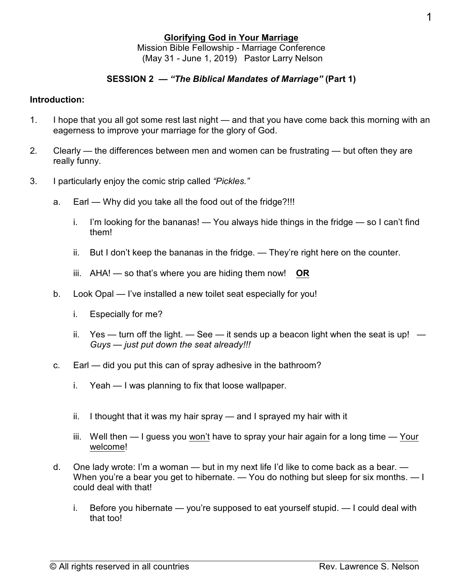## **Glorifying God in Your Marriage** Mission Bible Fellowship - Marriage Conference (May 31 - June 1, 2019) Pastor Larry Nelson

## **SESSION 2 —** *"The Biblical Mandates of Marriage"* **(Part 1)**

#### **Introduction:**

- 1. I hope that you all got some rest last night and that you have come back this morning with an eagerness to improve your marriage for the glory of God.
- 2. Clearly the differences between men and women can be frustrating but often they are really funny.
- 3. I particularly enjoy the comic strip called *"Pickles."*
	- a. Earl Why did you take all the food out of the fridge?!!!
		- i. I'm looking for the bananas! You always hide things in the fridge so I can't find them!
		- ii. But I don't keep the bananas in the fridge. They're right here on the counter.
		- iii. AHA! so that's where you are hiding them now! **OR**
	- b. Look Opal I've installed a new toilet seat especially for you!
		- i. Especially for me?
		- ii. Yes turn off the light.  $-$  See it sends up a beacon light when the seat is up!  $-$ *Guys — just put down the seat already!!!*
	- c. Earl did you put this can of spray adhesive in the bathroom?
		- i. Yeah I was planning to fix that loose wallpaper.
		- ii. I thought that it was my hair spray and I sprayed my hair with it
		- iii. Well then I guess you won't have to spray your hair again for a long time Your welcome!
	- d. One lady wrote: I'm a woman but in my next life I'd like to come back as a bear. When you're a bear you get to hibernate. — You do nothing but sleep for six months. — I could deal with that!
		- i. Before you hibernate you're supposed to eat yourself stupid. I could deal with that too!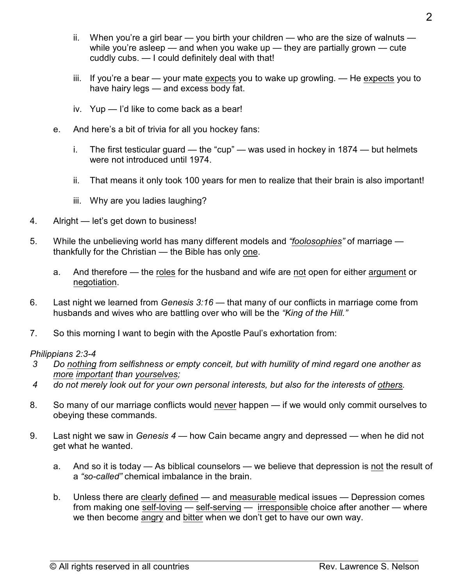- $i$ . When you're a girl bear  $-$  you birth your children  $-$  who are the size of walnuts  $$ while you're asleep — and when you wake up — they are partially grown — cute cuddly cubs. — I could definitely deal with that!
- iii. If you're a bear your mate expects you to wake up growling. He expects you to have hairy legs — and excess body fat.
- iv. Yup I'd like to come back as a bear!
- e. And here's a bit of trivia for all you hockey fans:
	- i. The first testicular guard the "cup" was used in hockey in 1874 but helmets were not introduced until 1974.
	- ii. That means it only took 100 years for men to realize that their brain is also important!
	- iii. Why are you ladies laughing?
- 4. Alright let's get down to business!
- 5. While the unbelieving world has many different models and *"foolosophies"* of marriage thankfully for the Christian — the Bible has only one.
	- a. And therefore the roles for the husband and wife are not open for either argument or negotiation.
- 6. Last night we learned from *Genesis 3:16* that many of our conflicts in marriage come from husbands and wives who are battling over who will be the *"King of the Hill."*
- 7. So this morning I want to begin with the Apostle Paul's exhortation from:

#### *Philippians 2:3-4*

- *3 Do nothing from selfishness or empty conceit, but with humility of mind regard one another as more important than yourselves;*
- *4 do not merely look out for your own personal interests, but also for the interests of others.*
- 8. So many of our marriage conflicts would never happen if we would only commit ourselves to obeying these commands.
- 9. Last night we saw in *Genesis 4* how Cain became angry and depressed when he did not get what he wanted.
	- a. And so it is today As biblical counselors we believe that depression is not the result of a *"so-called"* chemical imbalance in the brain.
	- b. Unless there are clearly defined and measurable medical issues Depression comes from making one self-loving — self-serving — irresponsible choice after another — where we then become angry and bitter when we don't get to have our own way.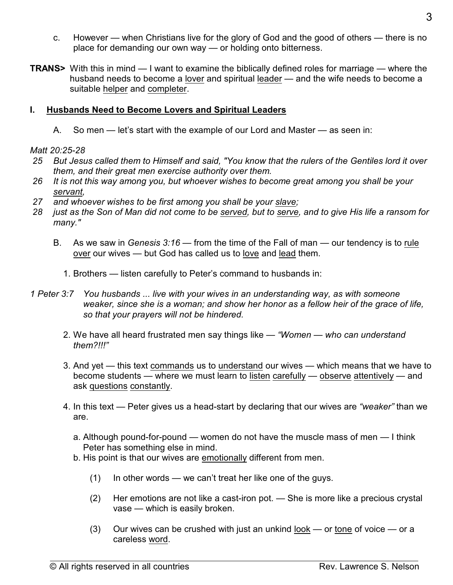- c. However when Christians live for the glory of God and the good of others there is no place for demanding our own way — or holding onto bitterness.
- **TRANS>** With this in mind I want to examine the biblically defined roles for marriage where the husband needs to become a lover and spiritual leader — and the wife needs to become a suitable helper and completer.

# **I. Husbands Need to Become Lovers and Spiritual Leaders**

A. So men — let's start with the example of our Lord and Master — as seen in:

# *Matt 20:25-28*

- *25 But Jesus called them to Himself and said, "You know that the rulers of the Gentiles lord it over them, and their great men exercise authority over them.*
- *26 It is not this way among you, but whoever wishes to become great among you shall be your servant,*
- *27 and whoever wishes to be first among you shall be your slave;*
- *28 just as the Son of Man did not come to be served, but to serve, and to give His life a ransom for many."*
	- B. As we saw in *Genesis 3:16* from the time of the Fall of man our tendency is to rule over our wives — but God has called us to love and lead them.
		- 1. Brothers listen carefully to Peter's command to husbands in:
- *1 Peter 3:7 You husbands ... live with your wives in an understanding way, as with someone weaker, since she is a woman; and show her honor as a fellow heir of the grace of life, so that your prayers will not be hindered.*
	- 2. We have all heard frustrated men say things like — *"Women who can understand them?!!!"*
	- 3. And yet this text commands us to understand our wives which means that we have to become students — where we must learn to listen carefully — observe attentively — and ask questions constantly.
	- 4. In this text Peter gives us a head-start by declaring that our wives are *"weaker"* than we are.
		- a. Although pound-for-pound women do not have the muscle mass of men I think Peter has something else in mind.
		- b. His point is that our wives are emotionally different from men.
			- $(1)$  In other words we can't treat her like one of the guys.
			- (2) Her emotions are not like a cast-iron pot. She is more like a precious crystal vase — which is easily broken.
			- (3) Our wives can be crushed with just an unkind look or tone of voice or a careless word.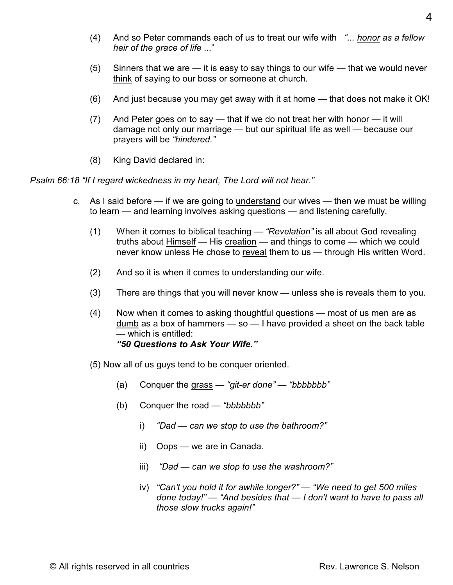- (4) And so Peter commands each of us to treat our wife with *"... honor as a fellow heir of the grace of life* ..."
- (5) Sinners that we are it is easy to say things to our wife that we would never think of saying to our boss or someone at church.
- (6) And just because you may get away with it at home that does not make it OK!
- (7) And Peter goes on to say that if we do not treat her with honor it will damage not only our marriage — but our spiritual life as well — because our prayers will be *"hindered."*
- (8) King David declared in:

*Psalm 66:18 "If I regard wickedness in my heart, The Lord will not hear."*

- c. As I said before if we are going to understand our wives then we must be willing to learn - and learning involves asking questions - and listening carefully.
	- (1) When it comes to biblical teaching *"Revelation"* is all about God revealing truths about Himself — His creation — and things to come — which we could never know unless He chose to reveal them to us — through His written Word.
	- (2) And so it is when it comes to understanding our wife.
	- (3) There are things that you will never know unless she is reveals them to you.
	- (4) Now when it comes to asking thoughtful questions most of us men are as dumb as a box of hammers — so — I have provided a sheet on the back table — which is entitled: *"50 Questions to Ask Your Wife."*
	- (5) Now all of us guys tend to be conquer oriented.
		- (a) Conquer the grass *"git-er done" "bbbbbbb"*
		- (b) Conquer the road *"bbbbbbb"*
			- i) *"Dad can we stop to use the bathroom?"*
			- ii) Oops we are in Canada.
			- iii) *"Dad can we stop to use the washroom?"*
			- iv) *"Can't you hold it for awhile longer?" "We need to get 500 miles done today!"* — *"And besides that — I don't want to have to pass all those slow trucks again!"*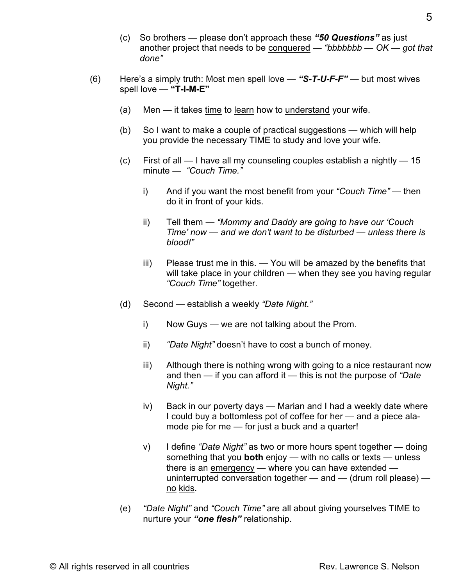- (c) So brothers please don't approach these *"50 Questions"* as just another project that needs to be conquered — *"bbbbbbb — OK — got that done"*
- (6) Here's a simply truth: Most men spell love *"S-T-U-F-F"* but most wives spell love — **"T-I-M-E"**
	- (a) Men it takes time to learn how to understand your wife.
	- (b) So I want to make a couple of practical suggestions which will help you provide the necessary TIME to study and love your wife.
	- (c) First of all I have all my counseling couples establish a nightly 15 minute — *"Couch Time."*
		- i) And if you want the most benefit from your *"Couch Time"* then do it in front of your kids.
		- ii) Tell them *"Mommy and Daddy are going to have our 'Couch Time' now — and we don't want to be disturbed — unless there is blood!"*
		- iii) Please trust me in this. You will be amazed by the benefits that will take place in your children — when they see you having regular *"Couch Time"* together.
	- (d) Second establish a weekly *"Date Night."*
		- i) Now Guys we are not talking about the Prom.
		- ii) *"Date Night"* doesn't have to cost a bunch of money.
		- iii) Although there is nothing wrong with going to a nice restaurant now and then — if you can afford it — this is not the purpose of *"Date Night."*
		- iv) Back in our poverty days Marian and I had a weekly date where I could buy a bottomless pot of coffee for her — and a piece alamode pie for me — for just a buck and a quarter!
		- v) I define *"Date Night"* as two or more hours spent together doing something that you **both** enjoy — with no calls or texts — unless there is an emergency — where you can have extended uninterrupted conversation together — and — (drum roll please) no kids.
	- (e) *"Date Night"* and *"Couch Time"* are all about giving yourselves TIME to nurture your *"one flesh"* relationship.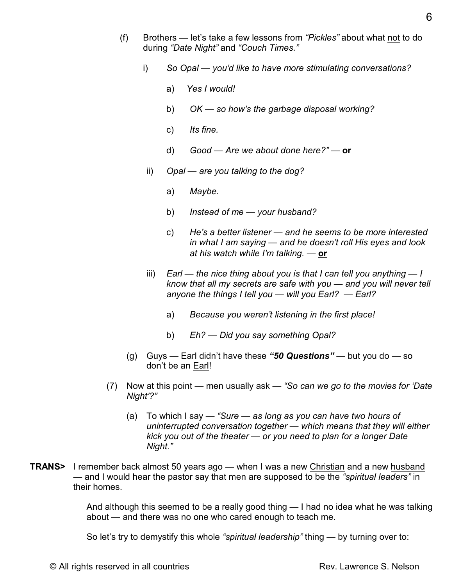- (f) Brothers let's take a few lessons from *"Pickles"* about what not to do during *"Date Night"* and *"Couch Times."*
	- i) *So Opal you'd like to have more stimulating conversations?* 
		- a) *Yes I would!*
		- b) *OK so how's the garbage disposal working?*
		- c) *Its fine.*
		- d) *Good Are we about done here?"* **or**
	- ii) *Opal are you talking to the dog?*
		- a) *Maybe.*
		- b) *Instead of me your husband?*
		- c) *He's a better listener and he seems to be more interested in what I am saying — and he doesn't roll His eyes and look at his watch while I'm talking. —* **or**
	- iii) *Earl the nice thing about you is that I can tell you anything I know that all my secrets are safe with you — and you will never tell anyone the things I tell you — will you Earl?* — *Earl?*
		- a) *Because you weren't listening in the first place!*
		- b) *Eh? Did you say something Opal?*
	- (g) Guys Earl didn't have these *"50 Questions"* but you do so don't be an Earl!
- (7) Now at this point men usually ask — *"So can we go to the movies for 'Date Night'?"*
	- (a) To which I say *"Sure as long as you can have two hours of uninterrupted conversation together — which means that they will either kick you out of the theater — or you need to plan for a longer Date Night."*
- **TRANS>** I remember back almost 50 years ago when I was a new Christian and a new husband — and I would hear the pastor say that men are supposed to be the *"spiritual leaders"* in their homes.

And although this seemed to be a really good thing — I had no idea what he was talking about — and there was no one who cared enough to teach me.

So let's try to demystify this whole *"spiritual leadership"* thing — by turning over to: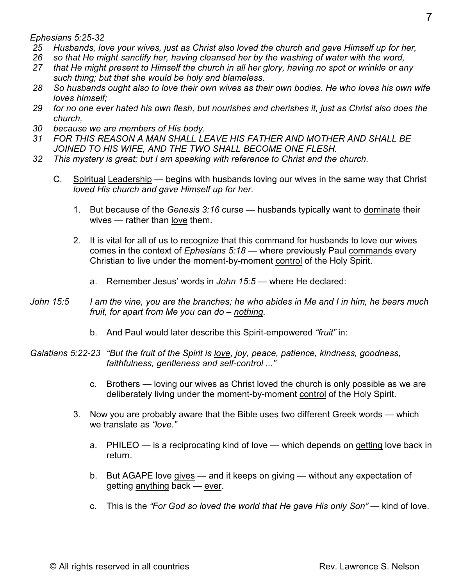*Ephesians 5:25-32*

- *25 Husbands, love your wives, just as Christ also loved the church and gave Himself up for her,*
- *26 so that He might sanctify her, having cleansed her by the washing of water with the word,*
- *27 that He might present to Himself the church in all her glory, having no spot or wrinkle or any such thing; but that she would be holy and blameless.*
- *28 So husbands ought also to love their own wives as their own bodies. He who loves his own wife loves himself;*
- *29 for no one ever hated his own flesh, but nourishes and cherishes it, just as Christ also does the church,*
- *30 because we are members of His body.*
- *31 FOR THIS REASON A MAN SHALL LEAVE HIS FATHER AND MOTHER AND SHALL BE JOINED TO HIS WIFE, AND THE TWO SHALL BECOME ONE FLESH.*
- *32 This mystery is great; but I am speaking with reference to Christ and the church.*
	- C. Spiritual Leadership begins with husbands loving our wives in the same way that Christ *loved His church and gave Himself up for her*.
		- 1. But because of the *Genesis 3:16* curse husbands typically want to dominate their wives — rather than love them.
		- 2. It is vital for all of us to recognize that this command for husbands to love our wives comes in the context of *Ephesians 5:18* — where previously Paul commands every Christian to live under the moment-by-moment control of the Holy Spirit.
			- a. Remember Jesus' words in *John 15:5* where He declared:
- *John 15:5 I am the vine, you are the branches; he who abides in Me and I in him, he bears much fruit, for apart from Me you can do – nothing.*
	- b. And Paul would later describe this Spirit-empowered *"fruit"* in:

*Galatians 5:22-23 "But the fruit of the Spirit is love, joy, peace, patience, kindness, goodness, faithfulness, gentleness and self-control ..."*

- c. Brothers loving our wives as Christ loved the church is only possible as we are deliberately living under the moment-by-moment control of the Holy Spirit.
- 3. Now you are probably aware that the Bible uses two different Greek words which we translate as *"love."*
	- a. PHILEO is a reciprocating kind of love which depends on getting love back in return.
	- b. But AGAPE love gives and it keeps on giving without any expectation of getting anything back — ever.
	- c. This is the *"For God so loved the world that He gave His only Son"* kind of love.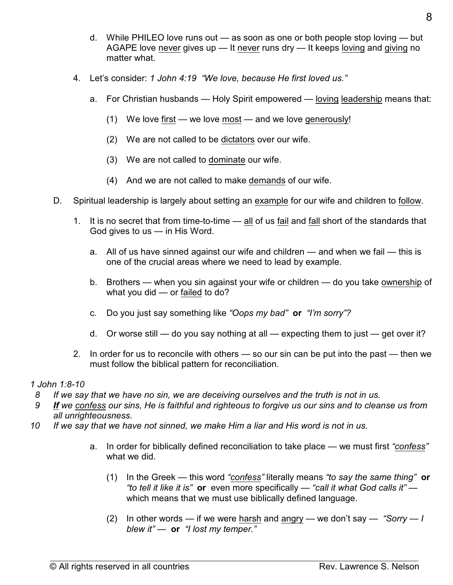- d. While PHILEO love runs out as soon as one or both people stop loving but AGAPE love never gives up — It never runs dry — It keeps loving and giving no matter what.
- 4. Let's consider: *1 John 4:19 "We love, because He first loved us."*
	- a. For Christian husbands Holy Spirit empowered loving leadership means that:
		- (1) We love first we love most and we love generously!
		- (2) We are not called to be dictators over our wife.
		- (3) We are not called to dominate our wife.
		- (4) And we are not called to make demands of our wife.
- D. Spiritual leadership is largely about setting an example for our wife and children to follow.
	- 1. It is no secret that from time-to-time all of us fail and fall short of the standards that God gives to us — in His Word.
		- a. All of us have sinned against our wife and children and when we fail this is one of the crucial areas where we need to lead by example.
		- b. Brothers when you sin against your wife or children do you take ownership of what you did — or failed to do?
		- c. Do you just say something like *"Oops my bad"* **or** *"I'm sorry"?*
		- d. Or worse still do you say nothing at all expecting them to just get over it?
	- 2. In order for us to reconcile with others so our sin can be put into the past then we must follow the biblical pattern for reconciliation.

#### *1 John 1:8-10*

- *8 If we say that we have no sin, we are deceiving ourselves and the truth is not in us.*
- *9 If we confess our sins, He is faithful and righteous to forgive us our sins and to cleanse us from all unrighteousness.*
- *10 If we say that we have not sinned, we make Him a liar and His word is not in us.*
	- a. In order for biblically defined reconciliation to take place we must first *"confess"* what we did.
		- (1) In the Greek this word *"confess"* literally means *"to say the same thing"* **or**  *"to tell it like it is"* **or** even more specifically — *"call it what God calls it"* which means that we must use biblically defined language.
		- (2) In other words if we were harsh and angry we don't say *"Sorry I blew it"* — **or** *"I lost my temper."*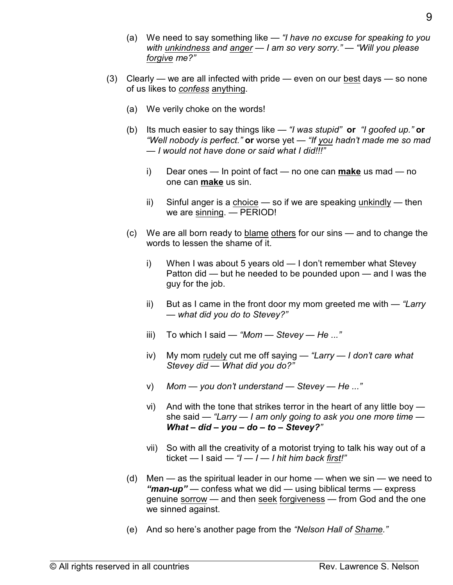- (a) We need to say something like *"I have no excuse for speaking to you with unkindness and anger — I am so very sorry." — "Will you please forgive me?"*
- (3) Clearly we are all infected with pride even on our best days so none of us likes to *confess* anything.
	- (a) We verily choke on the words!
	- (b) Its much easier to say things like *"I was stupid"* **or** *"I goofed up."* **or** *"Well nobody is perfect."* **or** worse yet — *"If you hadn't made me so mad — I would not have done or said what I did!!!"*
		- i) Dear ones In point of fact no one can **make** us mad no one can **make** us sin.
		- ii) Sinful anger is a choice  $-$  so if we are speaking unkindly  $-$  then we are sinning. — PERIOD!
	- (c) We are all born ready to blame others for our sins and to change the words to lessen the shame of it.
		- i) When I was about 5 years old I don't remember what Stevey Patton did — but he needed to be pounded upon — and I was the guy for the job.
		- ii) But as I came in the front door my mom greeted me with — *"Larry — what did you do to Stevey?"*
		- iii) To which I said *"Mom Stevey He ..."*
		- iv) My mom rudely cut me off saying *"Larry I don't care what Stevey did — What did you do?"*
		- v) *Mom you don't understand Stevey He ..."*
		- vi) And with the tone that strikes terror in the heart of any little boy she said — *"Larry — I am only going to ask you one more time — What – did – you – do – to – Stevey?"*
		- vii) So with all the creativity of a motorist trying to talk his way out of a ticket — I said — *"I — I — I hit him back first!"*
	- (d) Men as the spiritual leader in our home when we sin we need to *"man-up"* — confess what we did — using biblical terms — express genuine sorrow — and then seek forgiveness — from God and the one we sinned against.
	- (e) And so here's another page from the *"Nelson Hall of Shame."*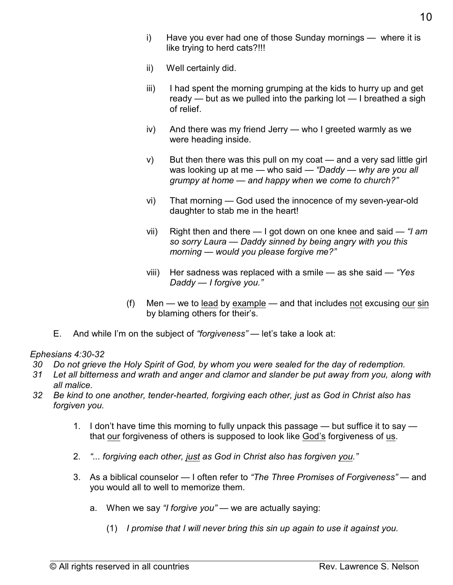- i) Have you ever had one of those Sunday mornings where it is like trying to herd cats?!!!
- ii) Well certainly did.
- iii) I had spent the morning grumping at the kids to hurry up and get ready — but as we pulled into the parking lot — I breathed a sigh of relief.
- iv) And there was my friend Jerry who I greeted warmly as we were heading inside.
- v) But then there was this pull on my coat and a very sad little girl was looking up at me — who said — *"Daddy — why are you all grumpy at home — and happy when we come to church?"*
- vi) That morning God used the innocence of my seven-year-old daughter to stab me in the heart!
- vii) Right then and there I got down on one knee and said *"I am so sorry Laura — Daddy sinned by being angry with you this morning — would you please forgive me?"*
- viii) Her sadness was replaced with a smile as she said *"Yes Daddy — I forgive you."*
- (f) Men we to lead by example and that includes not excusing our sin by blaming others for their's.
- E. And while I'm on the subject of *"forgiveness"* let's take a look at:

## *Ephesians 4:30-32*

- *30 Do not grieve the Holy Spirit of God, by whom you were sealed for the day of redemption.*
- *31 Let all bitterness and wrath and anger and clamor and slander be put away from you, along with all malice.*
- *32 Be kind to one another, tender-hearted, forgiving each other, just as God in Christ also has forgiven you.*
	- 1. I don't have time this morning to fully unpack this passage but suffice it to say that our forgiveness of others is supposed to look like God's forgiveness of us.
	- 2. *"... forgiving each other, just as God in Christ also has forgiven you."*
	- 3. As a biblical counselor I often refer to *"The Three Promises of Forgiveness"*  and you would all to well to memorize them.
		- a. When we say *"I forgive you"* we are actually saying:
			- (1) *I promise that I will never bring this sin up again to use it against you.*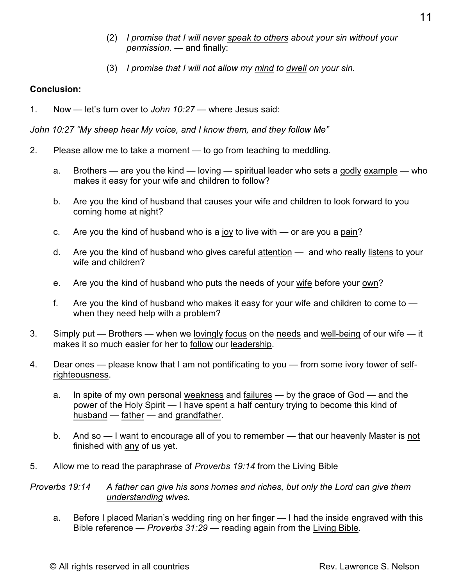- (2) *I promise that I will never speak to others about your sin without your permission*. — and finally:
- (3) *I promise that I will not allow my mind to dwell on your sin.*

# **Conclusion:**

1. Now — let's turn over to *John 10:27* — where Jesus said:

*John 10:27 "My sheep hear My voice, and I know them, and they follow Me"*

- 2. Please allow me to take a moment to go from teaching to meddling.
	- a. Brothers are you the kind loving spiritual leader who sets a godly example who makes it easy for your wife and children to follow?
	- b. Are you the kind of husband that causes your wife and children to look forward to you coming home at night?
	- c. Are you the kind of husband who is a joy to live with or are you a pain?
	- d. Are you the kind of husband who gives careful attention and who really listens to your wife and children?
	- e. Are you the kind of husband who puts the needs of your wife before your own?
	- f. Are you the kind of husband who makes it easy for your wife and children to come to  $$ when they need help with a problem?
- 3. Simply put Brothers when we lovingly focus on the needs and well-being of our wife it makes it so much easier for her to follow our leadership.
- 4. Dear ones please know that I am not pontificating to you from some ivory tower of selfrighteousness.
	- a. In spite of my own personal weakness and failures by the grace of God and the power of the Holy Spirit — I have spent a half century trying to become this kind of husband — father — and grandfather.
	- b. And so I want to encourage all of you to remember that our heavenly Master is not finished with any of us yet.
- 5. Allow me to read the paraphrase of *Proverbs 19:14* from the Living Bible

*Proverbs 19:14 A father can give his sons homes and riches, but only the Lord can give them understanding wives.*

a. Before I placed Marian's wedding ring on her finger — I had the inside engraved with this Bible reference — *Proverbs 31:29* — reading again from the Living Bible.